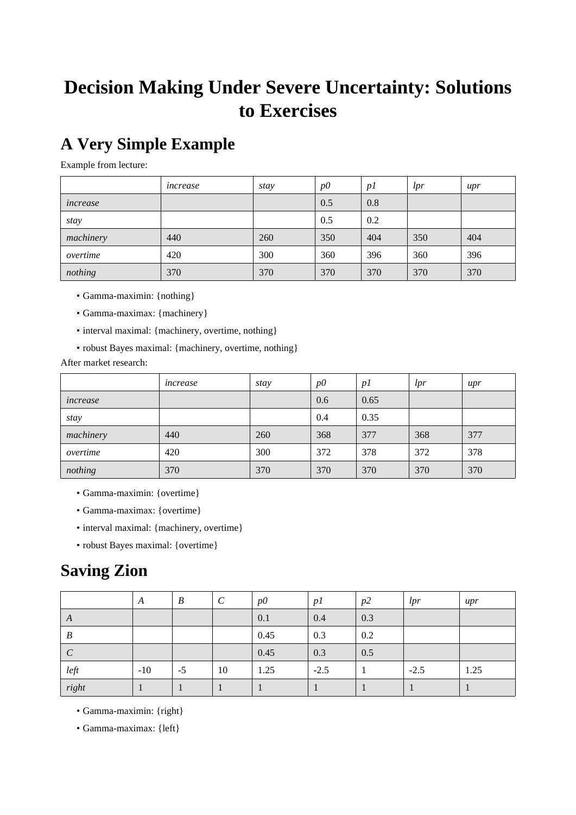# **Decision Making Under Severe Uncertainty: Solutions to Exercises**

# **A Very Simple Example**

Example from lecture:

|           | increase | stay | $p\ddot{o}$ | p1  | lpr | $_{upr}$ |
|-----------|----------|------|-------------|-----|-----|----------|
| increase  |          |      | 0.5         | 0.8 |     |          |
| stay      |          |      | 0.5         | 0.2 |     |          |
| machinery | 440      | 260  | 350         | 404 | 350 | 404      |
| overtime  | 420      | 300  | 360         | 396 | 360 | 396      |
| nothing   | 370      | 370  | 370         | 370 | 370 | 370      |

- Gamma-maximin: {nothing}
- Gamma-maximax: {machinery}
- interval maximal: {machinery, overtime, nothing}
- robust Bayes maximal: {machinery, overtime, nothing}

After market research:

|           | increase | stay | $p\ddot{o}$ | p1   | lpr | $_{upr}$ |
|-----------|----------|------|-------------|------|-----|----------|
| increase  |          |      | 0.6         | 0.65 |     |          |
| stay      |          |      | 0.4         | 0.35 |     |          |
| machinery | 440      | 260  | 368         | 377  | 368 | 377      |
| overtime  | 420      | 300  | 372         | 378  | 372 | 378      |
| nothing   | 370      | 370  | 370         | 370  | 370 | 370      |

- Gamma-maximin: {overtime}
- Gamma-maximax: {overtime}
- interval maximal: {machinery, overtime}
- robust Bayes maximal: {overtime}

## **Saving Zion**

|                  | A     | $\boldsymbol{B}$ | $\mathcal C$ | $p\ddot{o}$ | p1     | p2  | lpr    | $_{upr}$ |
|------------------|-------|------------------|--------------|-------------|--------|-----|--------|----------|
| A                |       |                  |              | 0.1         | 0.4    | 0.3 |        |          |
| $\boldsymbol{B}$ |       |                  |              | 0.45        | 0.3    | 0.2 |        |          |
| $\mathcal{C}$    |       |                  |              | 0.45        | 0.3    | 0.5 |        |          |
| left             | $-10$ | $-5$             | 10           | 1.25        | $-2.5$ |     | $-2.5$ | 1.25     |
| right            |       |                  |              |             |        |     |        |          |

- Gamma-maximin: {right}
- Gamma-maximax: {left}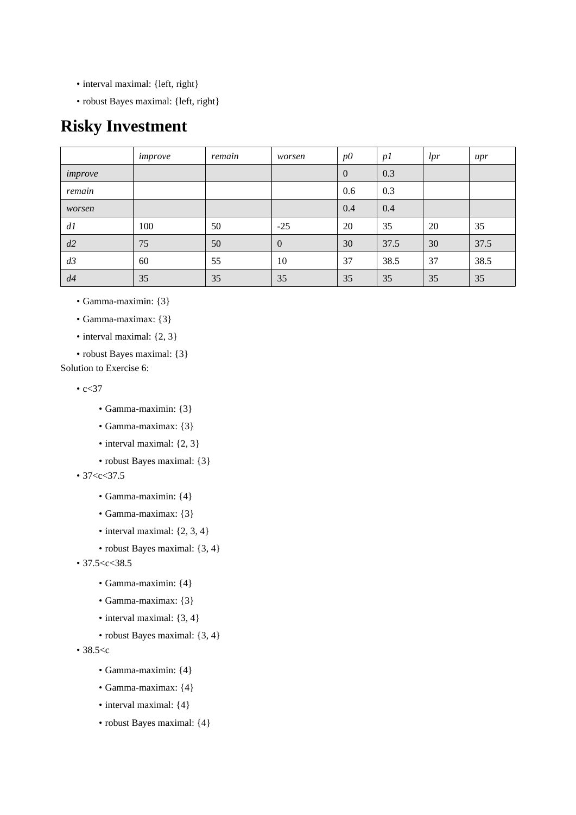- interval maximal: {left, right}
- robust Bayes maximal: {left, right}

## **Risky Investment**

|         | improve | remain | worsen         | $p\ddot{o}$    | p1   | lpr | upr  |
|---------|---------|--------|----------------|----------------|------|-----|------|
| improve |         |        |                | $\overline{0}$ | 0.3  |     |      |
| remain  |         |        |                | 0.6            | 0.3  |     |      |
| worsen  |         |        |                | 0.4            | 0.4  |     |      |
| dl      | 100     | 50     | $-25$          | 20             | 35   | 20  | 35   |
| d2      | 75      | 50     | $\overline{0}$ | 30             | 37.5 | 30  | 37.5 |
| d3      | 60      | 55     | 10             | 37             | 38.5 | 37  | 38.5 |
| d4      | 35      | 35     | 35             | 35             | 35   | 35  | 35   |

• Gamma-maximin: {3}

- Gamma-maximax: {3}
- interval maximal: {2, 3}
- robust Bayes maximal: {3}

Solution to Exercise 6:

 $\cdot c < 37$ 

- Gamma-maximin: {3}
- Gamma-maximax: {3}
- interval maximal: {2, 3}
- robust Bayes maximal: {3}

 $• 37 < c < 37.5$ 

- Gamma-maximin: {4}
- Gamma-maximax: {3}
- interval maximal:  $\{2, 3, 4\}$
- robust Bayes maximal: {3, 4}
- 37.5 <  $<$  38.5
	- Gamma-maximin: {4}
	- Gamma-maximax: {3}
	- interval maximal: {3, 4}
	- robust Bayes maximal: {3, 4}

• 38.5<c

- Gamma-maximin: {4}
- Gamma-maximax: {4}
- interval maximal: {4}
- robust Bayes maximal: {4}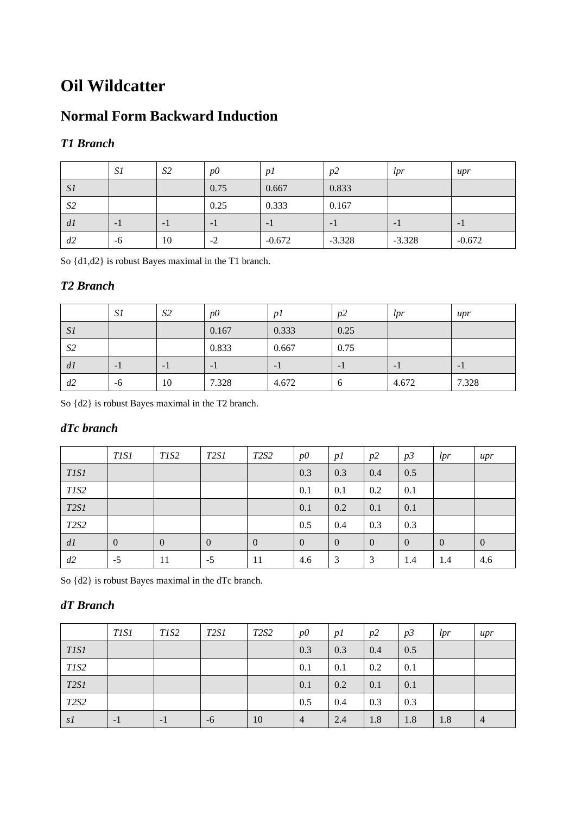# **Oil Wildcatter**

## **Normal Form Backward Induction**

### *T1 Branch*

|                | S1   | S <sub>2</sub> | $p\Omega$ | p <sub>I</sub> | p2       | lpr      | upr      |
|----------------|------|----------------|-----------|----------------|----------|----------|----------|
| S1             |      |                | 0.75      | 0.667          | 0.833    |          |          |
| S <sub>2</sub> |      |                | 0.25      | 0.333          | 0.167    |          |          |
| dl             | $-1$ | - 1            | $-1$      | - 1            | $-1$     | - 1      | $-1$     |
| d2             | -6   | 10             | $-2$      | $-0.672$       | $-3.328$ | $-3.328$ | $-0.672$ |

So {d1,d2} is robust Bayes maximal in the T1 branch.

## *T2 Branch*

|                | S1   | S <sub>2</sub> | $p\Omega$ | $\mathcal{D}$ | p2       | lpr   | $_{upr}$ |
|----------------|------|----------------|-----------|---------------|----------|-------|----------|
| S1             |      |                | 0.167     | 0.333         | 0.25     |       |          |
| S <sub>2</sub> |      |                | 0.833     | 0.667         | 0.75     |       |          |
| dl             | $-1$ | - 1            | $-1$      | - 1           | - 1      | - 1   | - 1      |
| d2             | -6   | 10             | 7.328     | 4.672         | $\sigma$ | 4.672 | 7.328    |

So {d2} is robust Bayes maximal in the T2 branch.

### *dTc branch*

|                               | <i>TISI</i>    | T1S2           | <i>T2S1</i>    | T <sub>2</sub> S <sub>2</sub> | $p\ddot{o}$    | p1             | p2             | p3             | lpr            | $_{upr}$     |
|-------------------------------|----------------|----------------|----------------|-------------------------------|----------------|----------------|----------------|----------------|----------------|--------------|
| <i>TISI</i>                   |                |                |                |                               | 0.3            | 0.3            | 0.4            | 0.5            |                |              |
| T <sub>1</sub> S <sub>2</sub> |                |                |                |                               | 0.1            | 0.1            | 0.2            | 0.1            |                |              |
| <b>T2S1</b>                   |                |                |                |                               | 0.1            | 0.2            | 0.1            | 0.1            |                |              |
| T <sub>2</sub> S <sub>2</sub> |                |                |                |                               | 0.5            | 0.4            | 0.3            | 0.3            |                |              |
| dl                            | $\overline{0}$ | $\overline{0}$ | $\overline{0}$ | $\overline{0}$                | $\overline{0}$ | $\overline{0}$ | $\overline{0}$ | $\overline{0}$ | $\overline{0}$ | $\mathbf{0}$ |
| d2                            | $-5$           | 11             | $-5$           | 11                            | 4.6            | 3              | 3              | 1.4            | 1.4            | 4.6          |

So {d2} is robust Bayes maximal in the dTc branch.

## *dT Branch*

|             | <i>TISI</i> | T <sub>1</sub> S <sub>2</sub> | <i>T2S1</i> | T <sub>2</sub> S <sub>2</sub> | $p\ddot{o}$    | p1  | p2  | p3  | lpr | $_{upr}$       |
|-------------|-------------|-------------------------------|-------------|-------------------------------|----------------|-----|-----|-----|-----|----------------|
| <b>TIS1</b> |             |                               |             |                               | 0.3            | 0.3 | 0.4 | 0.5 |     |                |
| T1S2        |             |                               |             |                               | 0.1            | 0.1 | 0.2 | 0.1 |     |                |
| <b>T2S1</b> |             |                               |             |                               | 0.1            | 0.2 | 0.1 | 0.1 |     |                |
| <b>T2S2</b> |             |                               |             |                               | 0.5            | 0.4 | 0.3 | 0.3 |     |                |
| s1          | $-1$        | $-1$                          | $-6$        | 10                            | $\overline{4}$ | 2.4 | 1.8 | 1.8 | 1.8 | $\overline{4}$ |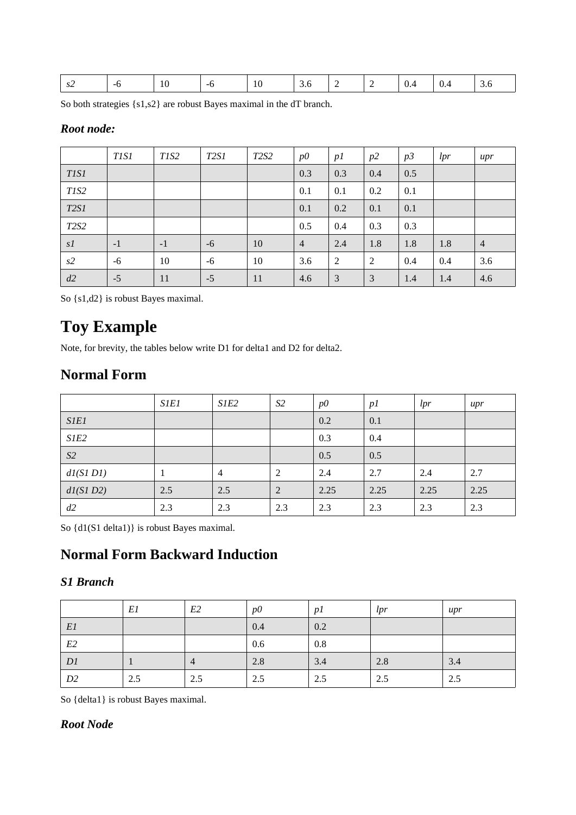| ے د | __ | 1 V<br>__ | $\cup$ . $\cup$ | <br>- | $\mathbf{v}$ . | ∪.⊤ | $\cup$ . $\cup$ |
|-----|----|-----------|-----------------|-------|----------------|-----|-----------------|
|     |    |           |                 |       |                |     |                 |

So both strategies {s1,s2} are robust Bayes maximal in the dT branch.

#### *Root node:*

|             | <i>TISI</i> | T <sub>1</sub> S <sub>2</sub> | T <sub>2</sub> S <sub>1</sub> | T <sub>2</sub> S <sub>2</sub> | $p\ddot{o}$    | p1  | p2  | p3  | lpr | upr            |
|-------------|-------------|-------------------------------|-------------------------------|-------------------------------|----------------|-----|-----|-----|-----|----------------|
| <b>TIS1</b> |             |                               |                               |                               | 0.3            | 0.3 | 0.4 | 0.5 |     |                |
| T1S2        |             |                               |                               |                               | 0.1            | 0.1 | 0.2 | 0.1 |     |                |
| <b>T2S1</b> |             |                               |                               |                               | 0.1            | 0.2 | 0.1 | 0.1 |     |                |
| <b>T2S2</b> |             |                               |                               |                               | 0.5            | 0.4 | 0.3 | 0.3 |     |                |
| s1          | $-1$        | $-1$                          | $-6$                          | 10                            | $\overline{4}$ | 2.4 | 1.8 | 1.8 | 1.8 | $\overline{4}$ |
| s2          | $-6$        | 10                            | $-6$                          | 10                            | 3.6            | 2   | 2   | 0.4 | 0.4 | 3.6            |
| d2          | $-5$        | 11                            | $-5$                          | 11                            | 4.6            | 3   | 3   | 1.4 | 1.4 | 4.6            |

So {s1,d2} is robust Bayes maximal.

## **Toy Example**

Note, for brevity, the tables below write D1 for delta1 and D2 for delta2.

## **Normal Form**

|             | <i>SIEI</i> | S1E2           | S <sub>2</sub> | $p\theta$ | p1   | lpr  | upr  |
|-------------|-------------|----------------|----------------|-----------|------|------|------|
| <b>SIE1</b> |             |                |                | 0.2       | 0.1  |      |      |
| S1E2        |             |                |                | 0.3       | 0.4  |      |      |
| S2          |             |                |                | 0.5       | 0.5  |      |      |
| dl(SIDI)    | 1           | $\overline{4}$ | 2              | 2.4       | 2.7  | 2.4  | 2.7  |
| dl(SID2)    | 2.5         | 2.5            | 2              | 2.25      | 2.25 | 2.25 | 2.25 |
| d2          | 2.3         | 2.3            | 2.3            | 2.3       | 2.3  | 2.3  | 2.3  |

So {d1(S1 delta1)} is robust Bayes maximal.

## **Normal Form Backward Induction**

### *S1 Branch*

|                | El  | E <sub>2</sub> | $p\theta$ | p1  | lpr | upr |
|----------------|-----|----------------|-----------|-----|-----|-----|
| E1             |     |                | 0.4       | 0.2 |     |     |
| $E2\,$         |     |                | 0.6       | 0.8 |     |     |
| DI             |     | $\overline{4}$ | 2.8       | 3.4 | 2.8 | 3.4 |
| D <sub>2</sub> | 2.5 | 2.5            | 2.5       | 2.5 | 2.5 | 2.5 |

So {delta1} is robust Bayes maximal.

### *Root Node*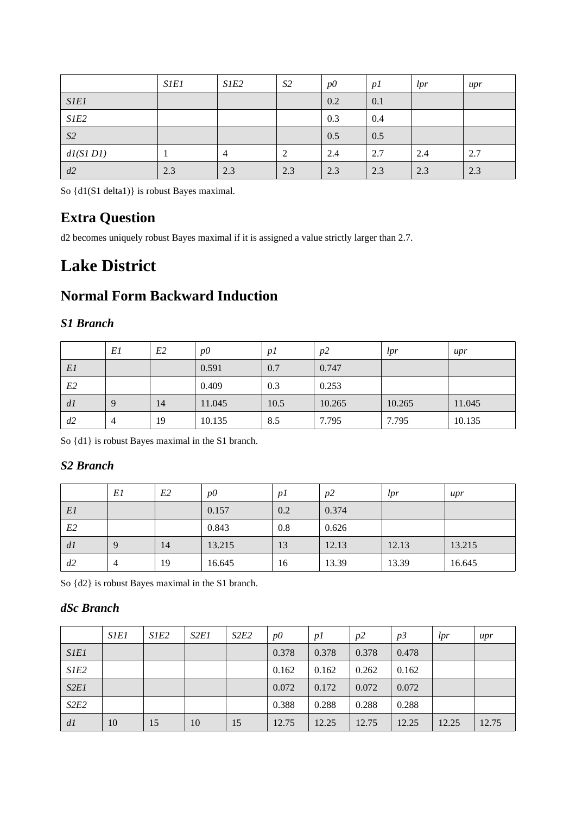|                | <b>SIE1</b> | S1E2 | S <sub>2</sub> | $p\ddot{o}$ | p1  | lpr | upr |
|----------------|-------------|------|----------------|-------------|-----|-----|-----|
| <b>SIE1</b>    |             |      |                | 0.2         | 0.1 |     |     |
| SIE2           |             |      |                | 0.3         | 0.4 |     |     |
| S <sub>2</sub> |             |      |                | 0.5         | 0.5 |     |     |
| dl(SIDI)       |             | 4    | 2              | 2.4         | 2.7 | 2.4 | 2.7 |
| d2             | 2.3         | 2.3  | 2.3            | 2.3         | 2.3 | 2.3 | 2.3 |

So {d1(S1 delta1)} is robust Bayes maximal.

## **Extra Question**

d2 becomes uniquely robust Bayes maximal if it is assigned a value strictly larger than 2.7.

# **Lake District**

## **Normal Form Backward Induction**

### *S1 Branch*

|    | El             | E <sub>2</sub> | $p\theta$ | $p_1$ | p2     | lpr    | upr    |
|----|----------------|----------------|-----------|-------|--------|--------|--------|
| E1 |                |                | 0.591     | 0.7   | 0.747  |        |        |
| E2 |                |                | 0.409     | 0.3   | 0.253  |        |        |
| dl | 9              | 14             | 11.045    | 10.5  | 10.265 | 10.265 | 11.045 |
| d2 | $\overline{4}$ | 19             | 10.135    | 8.5   | 7.795  | 7.795  | 10.135 |

So {d1} is robust Bayes maximal in the S1 branch.

### *S2 Branch*

|                | El | E2 | $p\Omega$ | p1  | p2    | lpr   | upr    |
|----------------|----|----|-----------|-----|-------|-------|--------|
| E1             |    |    | 0.157     | 0.2 | 0.374 |       |        |
| E <sub>2</sub> |    |    | 0.843     | 0.8 | 0.626 |       |        |
| dl             | 9  | 14 | 13.215    | 13  | 12.13 | 12.13 | 13.215 |
| d2             | 4  | 19 | 16.645    | 16  | 13.39 | 13.39 | 16.645 |

So {d2} is robust Bayes maximal in the S1 branch.

### *dSc Branch*

|             | <b>S1E1</b> | S1E <sub>2</sub> | S <sub>2</sub> E <sub>1</sub> | S <sub>2</sub> E <sub>2</sub> | $p\ddot{o}$ | p <sub>I</sub> | p2    | p3    | lpr   | upr   |
|-------------|-------------|------------------|-------------------------------|-------------------------------|-------------|----------------|-------|-------|-------|-------|
| <b>SIEI</b> |             |                  |                               |                               | 0.378       | 0.378          | 0.378 | 0.478 |       |       |
| S1E2        |             |                  |                               |                               | 0.162       | 0.162          | 0.262 | 0.162 |       |       |
| S2E1        |             |                  |                               |                               | 0.072       | 0.172          | 0.072 | 0.072 |       |       |
| S2E2        |             |                  |                               |                               | 0.388       | 0.288          | 0.288 | 0.288 |       |       |
| d1          | 10          | 15               | 10                            | 15                            | 12.75       | 12.25          | 12.75 | 12.25 | 12.25 | 12.75 |